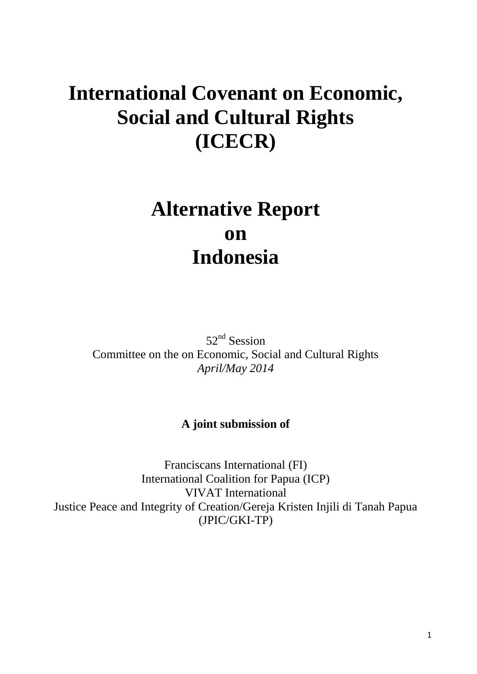# **International Covenant on Economic, Social and Cultural Rights (ICECR)**

# **Alternative Report on Indonesia**

52<sup>nd</sup> Session Committee on the on Economic, Social and Cultural Rights *April/May 2014*

# **A joint submission of**

Franciscans International (FI) International Coalition for Papua (ICP) VIVAT International Justice Peace and Integrity of Creation/Gereja Kristen Injili di Tanah Papua (JPIC/GKI-TP)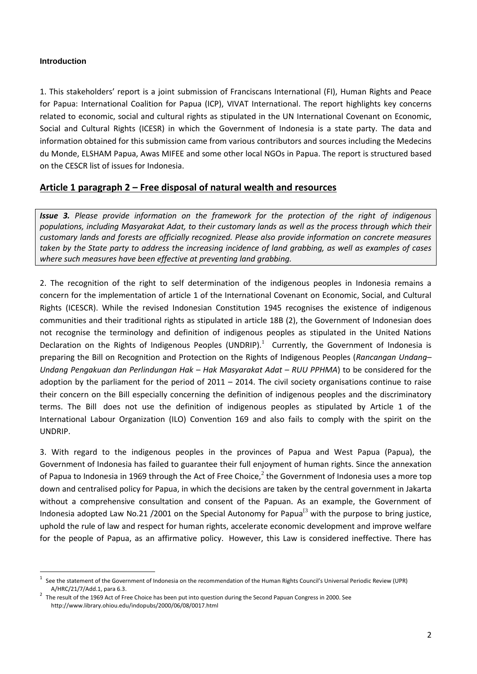## **Introduction**

 $\overline{a}$ 

1. This stakeholders' report is a joint submission of Franciscans International (FI), Human Rights and Peace for Papua: International Coalition for Papua (ICP), VIVAT International. The report highlights key concerns related to economic, social and cultural rights as stipulated in the UN International Covenant on Economic, Social and Cultural Rights (ICESR) in which the Government of Indonesia is a state party. The data and information obtained for this submission came from various contributors and sources including the Medecins du Monde, ELSHAM Papua, Awas MIFEE and some other local NGOs in Papua. The report is structured based on the CESCR list of issues for Indonesia.

# **Article 1 paragraph 2 – Free disposal of natural wealth and resources**

*Issue 3. Please provide information on the framework for the protection of the right of indigenous populations, including Masyarakat Adat, to their customary lands as well as the process through which their customary lands and forests are officially recognized. Please also provide information on concrete measures taken by the State party to address the increasing incidence of land grabbing, as well as examples of cases where such measures have been effective at preventing land grabbing.*

2. The recognition of the right to self determination of the indigenous peoples in Indonesia remains a concern for the implementation of article 1 of the International Covenant on Economic, Social, and Cultural Rights (ICESCR). While the revised Indonesian Constitution 1945 recognises the existence of indigenous communities and their traditional rights as stipulated in article 18B (2), the Government of Indonesian does not recognise the terminology and definition of indigenous peoples as stipulated in the United Nations Declaration on the Rights of Indigenous Peoples (UNDRIP). $^1$  Currently, the Government of Indonesia is preparing the Bill on Recognition and Protection on the Rights of Indigenous Peoples (*Rancangan Undang– Undang Pengakuan dan Perlindungan Hak – Hak Masyarakat Adat – RUU PPHMA*) to be considered for the adoption by the parliament for the period of  $2011 - 2014$ . The civil society organisations continue to raise their concern on the Bill especially concerning the definition of indigenous peoples and the discriminatory terms. The Bill does not use the definition of indigenous peoples as stipulated by Article 1 of the International Labour Organization (ILO) Convention 169 and also fails to comply with the spirit on the UNDRIP.

3. With regard to the indigenous peoples in the provinces of Papua and West Papua (Papua), the Government of Indonesia has failed to guarantee their full enjoyment of human rights. Since the annexation of Papua to Indonesia in 1969 through the Act of Free Choice,<sup>2</sup> the Government of Indonesia uses a more top down and centralised policy for Papua, in which the decisions are taken by the central government in Jakarta without a comprehensive consultation and consent of the Papuan. As an example, the Government of Indonesia adopted Law No.21 /2001 on the Special Autonomy for Papua<sup>[3</sup> with the purpose to bring justice, uphold the rule of law and respect for human rights, accelerate economic development and improve welfare for the people of Papua, as an affirmative policy. However, this Law is considered ineffective. There has

<sup>1</sup> See the statement of the Government of Indonesia on the recommendation of the Human Rights Council's Universal Periodic Review (UPR) A/HRC/21/7/Add.1, para 6.3.

<sup>2</sup> The result of the 1969 Act of Free Choice has been put into question during the Second Papuan Congress in 2000. See <http://www.library.ohiou.edu/indopubs/2000/06/08/0017.html>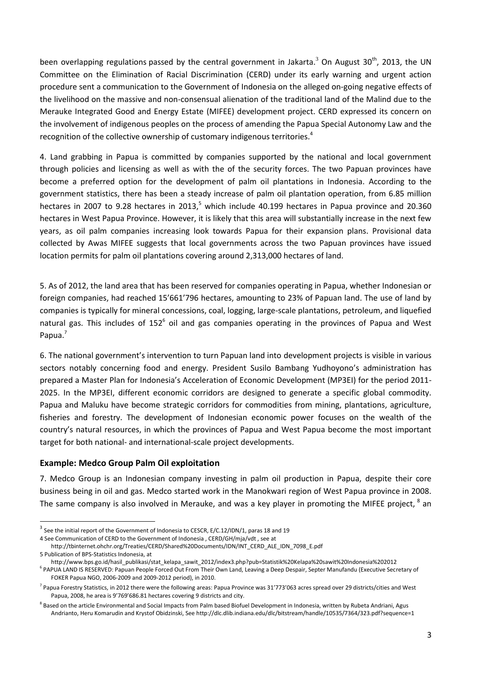been overlapping regulations passed by the central government in Jakarta.<sup>3</sup> On August 30<sup>th</sup>, 2013, the UN Committee on the Elimination of Racial Discrimination (CERD) under its early warning and urgent action procedure sent a communication to the Government of Indonesia on the alleged on-going negative effects of the livelihood on the massive and non-consensual alienation of the traditional land of the Malind due to the Merauke Integrated Good and Energy Estate (MIFEE) development project. CERD expressed its concern on the involvement of indigenous peoples on the process of amending the Papua Special Autonomy Law and the recognition of the collective ownership of customary indigenous territories.<sup>4</sup>

4. Land grabbing in Papua is committed by companies supported by the national and local government through policies and licensing as well as with the of the security forces. The two Papuan provinces have become a preferred option for the development of palm oil plantations in Indonesia. According to the government statistics, there has been a steady increase of palm oil plantation operation, from 6.85 million hectares in 2007 to 9.28 hectares in 2013,<sup>5</sup> which include 40.199 hectares in Papua province and 20.360 hectares in West Papua Province. However, it is likely that this area will substantially increase in the next few years, as oil palm companies increasing look towards Papua for their expansion plans. Provisional data collected by Awas MIFEE suggests that local governments across the two Papuan provinces have issued location permits for palm oil plantations covering around 2,313,000 hectares of land.

5. As of 2012, the land area that has been reserved for companies operating in Papua, whether Indonesian or foreign companies, had reached 15'661'796 hectares, amounting to 23% of Papuan land. The use of land by companies is typically for mineral concessions, coal, logging, large-scale plantations, petroleum, and liquefied natural gas. This includes of 152 $^6$  oil and gas companies operating in the provinces of Papua and West Papua.<sup>7</sup>

6. The national government's intervention to turn Papuan land into development projects is visible in various sectors notably concerning food and energy. President Susilo Bambang Yudhoyono's administration has prepared a Master Plan for Indonesia's Acceleration of Economic Development (MP3EI) for the period 2011- 2025. In the MP3EI, different economic corridors are designed to generate a specific global commodity. Papua and Maluku have become strategic corridors for commodities from mining, plantations, agriculture, fisheries and forestry. The development of Indonesian economic power focuses on the wealth of the country's natural resources, in which the provinces of Papua and West Papua become the most important target for both national- and international-scale project developments.

### **Example: Medco Group Palm Oil exploitation**

7. Medco Group is an Indonesian company investing in palm oil production in Papua, despite their core business being in oil and gas. Medco started work in the Manokwari region of West Papua province in 2008. The same company is also involved in Merauke, and was a key player in promoting the MIFEE project,  ${}^{8}$  an

 3 See the initial report of the Government of Indonesia to CESCR, E/C.12/IDN/1, paras 18 and 19

<sup>4</sup> See Communication of CERD to the Government of Indonesia , CERD/GH/mja/vdt , see at

[http://tbinternet.ohchr.org/Treaties/CERD/Shared%20Documents/IDN/INT\\_CERD\\_ALE\\_IDN\\_7098\\_E.pdf](http://tbinternet.ohchr.org/Treaties/CERD/Shared%20Documents/IDN/INT_CERD_ALE_IDN_7098_E.pdf) 5 Publication of BPS-Statistics Indonesia, at

[http://www.bps.go.id/hasil\\_publikasi/stat\\_kelapa\\_sawit\\_2012/index3.php?pub=Statistik%20Kelapa%20sawit%20Indonesia%202012](http://www.bps.go.id/hasil_publikasi/stat_kelapa_sawit_2012/index3.php?pub=Statistik%20Kelapa%20sawit%20Indonesia%202012) <sup>6</sup> PAPUA LAND IS RESERVED: Papuan People Forced Out From Their Own Land, Leaving a Deep Despair, Septer Manufandu (Executive Secretary of FOKER Papua NGO, 2006-2009 and 2009-2012 period), in 2010.

<sup>&</sup>lt;sup>7</sup> Papua Forestry Statistics, in 2012 there were the following areas: Papua Province was 31'773'063 acres spread over 29 districts/cities and West Papua, 2008, he area is 9'769'686.81 hectares covering 9 districts and city.

<sup>&</sup>lt;sup>8</sup> Based on the article Environmental and Social Impacts from Palm based Biofuel Development in Indonesia, written by Rubeta Andriani, Agus Andrianto, Heru Komarudin and Krystof Obidzinski, Se[e http://dlc.dlib.indiana.edu/dlc/bitstream/handle/10535/7364/323.pdf?sequence=1](http://dlc.dlib.indiana.edu/dlc/bitstream/handle/10535/7364/323.pdf?sequence=1)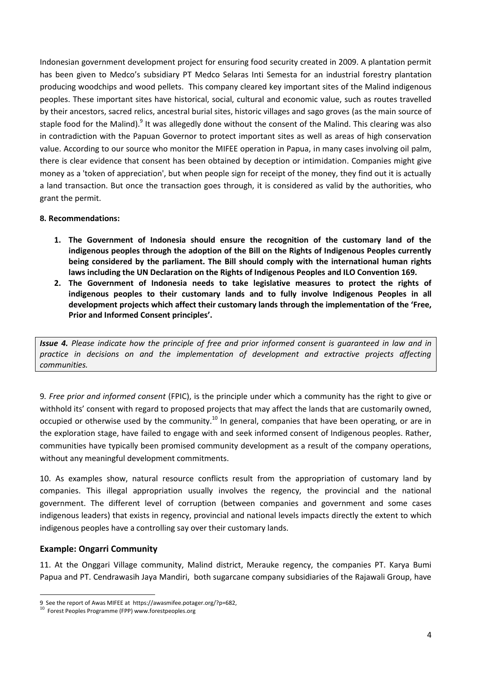Indonesian government development project for ensuring food security created in 2009. A plantation permit has been given to Medco's subsidiary PT Medco Selaras Inti Semesta for an industrial forestry plantation producing woodchips and wood pellets. This company cleared key important sites of the Malind indigenous peoples. These important sites have historical, social, cultural and economic value, such as routes travelled by their ancestors, sacred relics, ancestral burial sites, historic villages and sago groves (as the main source of staple food for the Malind).<sup>9</sup> It was allegedly done without the consent of the Malind. This clearing was also in contradiction with the Papuan Governor to protect important sites as well as areas of high conservation value. According to our source who monitor the MIFEE operation in Papua, in many cases involving oil palm, there is clear evidence that consent has been obtained by deception or intimidation. Companies might give money as a 'token of appreciation', but when people sign for receipt of the money, they find out it is actually a land transaction. But once the transaction goes through, it is considered as valid by the authorities, who grant the permit.

## **8. Recommendations:**

- **1. The Government of Indonesia should ensure the recognition of the customary land of the indigenous peoples through the adoption of the Bill on the Rights of Indigenous Peoples currently being considered by the parliament. The Bill should comply with the international human rights laws including the UN Declaration on the Rights of Indigenous Peoples and ILO Convention 169.**
- **2. The Government of Indonesia needs to take legislative measures to protect the rights of indigenous peoples to their customary lands and to fully involve Indigenous Peoples in all development projects which affect their customary lands through the implementation of the 'Free, Prior and Informed Consent principles'.**

*Issue 4. Please indicate how the principle of free and prior informed consent is guaranteed in law and in*  practice in decisions on and the implementation of development and extractive projects affecting *communities.*

9*. Free prior and informed consent* (FPIC), is the principle under which a community has the right to give or withhold its' consent with regard to proposed projects that may affect the lands that are customarily owned, occupied or otherwise used by the community.<sup>10</sup> In general, companies that have been operating, or are in the exploration stage, have failed to engage with and seek informed consent of Indigenous peoples. Rather, communities have typically been promised community development as a result of the company operations, without any meaningful development commitments.

10. As examples show, natural resource conflicts result from the appropriation of customary land by companies. This illegal appropriation usually involves the regency, the provincial and the national government. The different level of corruption (between companies and government and some cases indigenous leaders) that exists in regency, provincial and national levels impacts directly the extent to which indigenous peoples have a controlling say over their customary lands.

### **Example: Ongarri Community**

 $\overline{a}$ 

11. At the Onggari Village community, Malind district, Merauke regency, the companies PT. Karya Bumi Papua and PT. Cendrawasih Jaya Mandiri, both sugarcane company subsidiaries of the Rajawali Group, have

<sup>9</sup> See the report of Awas MIFEE at [https://awasmifee.potager.org/?p=682,](https://awasmifee.potager.org/?p=682) 

 $^{10}$  Forest Peoples Programme (FPP) www.forestpeoples.org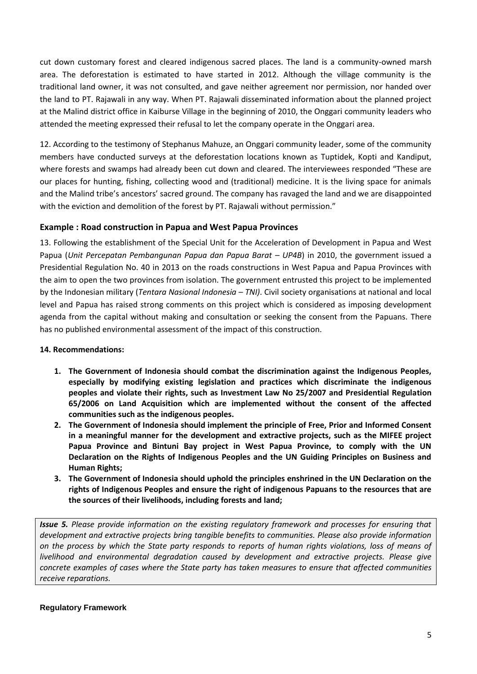cut down customary forest and cleared indigenous sacred places. The land is a community-owned marsh area. The deforestation is estimated to have started in 2012. Although the village community is the traditional land owner, it was not consulted, and gave neither agreement nor permission, nor handed over the land to PT. Rajawali in any way. When PT. Rajawali disseminated information about the planned project at the Malind district office in Kaiburse Village in the beginning of 2010, the Onggari community leaders who attended the meeting expressed their refusal to let the company operate in the Onggari area.

12. According to the testimony of Stephanus Mahuze, an Onggari community leader, some of the community members have conducted surveys at the deforestation locations known as Tuptidek, Kopti and Kandiput, where forests and swamps had already been cut down and cleared. The interviewees responded "These are our places for hunting, fishing, collecting wood and (traditional) medicine. It is the living space for animals and the Malind tribe's ancestors' sacred ground. The company has ravaged the land and we are disappointed with the eviction and demolition of the forest by PT. Rajawali without permission."

## **Example : Road construction in Papua and West Papua Provinces**

13. Following the establishment of the Special Unit for the Acceleration of Development in Papua and West Papua (*Unit Percepatan Pembangunan Papua dan Papua Barat – UP4B*) in 2010, the government issued a Presidential Regulation No. 40 in 2013 on the roads constructions in West Papua and Papua Provinces with the aim to open the two provinces from isolation. The government entrusted this project to be implemented by the Indonesian military (*Tentara Nasional Indonesia – TNI)*. Civil society organisations at national and local level and Papua has raised strong comments on this project which is considered as imposing development agenda from the capital without making and consultation or seeking the consent from the Papuans. There has no published environmental assessment of the impact of this construction.

## **14. Recommendations:**

- **1. The Government of Indonesia should combat the discrimination against the Indigenous Peoples, especially by modifying existing legislation and practices which discriminate the indigenous peoples and violate their rights, such as Investment Law No 25/2007 and Presidential Regulation 65/2006 on Land Acquisition which are implemented without the consent of the affected communities such as the indigenous peoples.**
- **2. The Government of Indonesia should implement the principle of Free, Prior and Informed Consent in a meaningful manner for the development and extractive projects, such as the MIFEE project Papua Province and Bintuni Bay project in West Papua Province, to comply with the UN Declaration on the Rights of Indigenous Peoples and the UN Guiding Principles on Business and Human Rights;**
- **3. The Government of Indonesia should uphold the principles enshrined in the UN Declaration on the rights of Indigenous Peoples and ensure the right of indigenous Papuans to the resources that are the sources of their livelihoods, including forests and land;**

*Issue 5. Please provide information on the existing regulatory framework and processes for ensuring that development and extractive projects bring tangible benefits to communities. Please also provide information on the process by which the State party responds to reports of human rights violations, loss of means of livelihood and environmental degradation caused by development and extractive projects. Please give concrete examples of cases where the State party has taken measures to ensure that affected communities receive reparations.*

### **Regulatory Framework**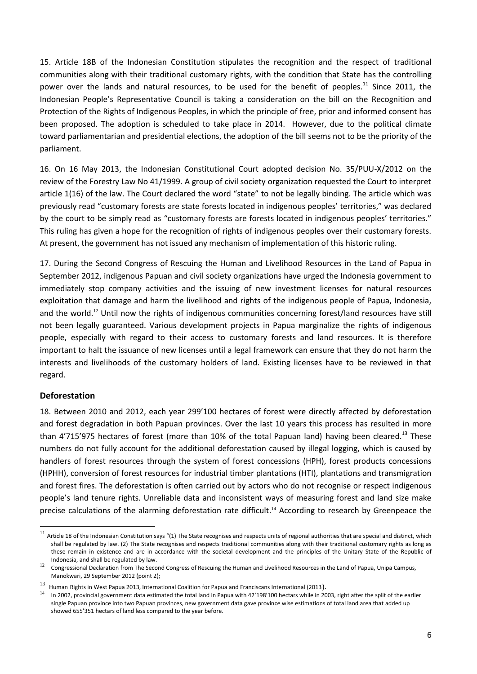15. Article 18B of the Indonesian Constitution stipulates the recognition and the respect of traditional communities along with their traditional customary rights, with the condition that State has the controlling power over the lands and natural resources, to be used for the benefit of peoples.<sup>11</sup> Since 2011, the Indonesian People's Representative Council is taking a consideration on the bill on the Recognition and Protection of the Rights of Indigenous Peoples, in which the principle of free, prior and informed consent has been proposed. The adoption is scheduled to take place in 2014. However, due to the political climate toward parliamentarian and presidential elections, the adoption of the bill seems not to be the priority of the parliament.

16. On 16 May 2013, the Indonesian Constitutional Court adopted decision No. 35/PUU-X/2012 on the review of the Forestry Law No 41/1999. A group of civil society organization requested the Court to interpret article 1(16) of the law. The Court declared the word "state" to not be legally binding. The article which was previously read "customary forests are state forests located in indigenous peoples' territories," was declared by the court to be simply read as "customary forests are forests located in indigenous peoples' territories." This ruling has given a hope for the recognition of rights of indigenous peoples over their customary forests. At present, the government has not issued any mechanism of implementation of this historic ruling.

17. During the Second Congress of Rescuing the Human and Livelihood Resources in the Land of Papua in September 2012, indigenous Papuan and civil society organizations have urged the Indonesia government to immediately stop company activities and the issuing of new investment licenses for natural resources exploitation that damage and harm the livelihood and rights of the indigenous people of Papua, Indonesia, and the world.<sup>12</sup> Until now the rights of indigenous communities concerning forest/land resources have still not been legally guaranteed. Various development projects in Papua marginalize the rights of indigenous people, especially with regard to their access to customary forests and land resources. It is therefore important to halt the issuance of new licenses until a legal framework can ensure that they do not harm the interests and livelihoods of the customary holders of land. Existing licenses have to be reviewed in that regard.

### **Deforestation**

 $\ddot{\phantom{a}}$ 

18. Between 2010 and 2012, each year 299'100 hectares of forest were directly affected by deforestation and forest degradation in both Papuan provinces. Over the last 10 years this process has resulted in more than 4'715'975 hectares of forest (more than 10% of the total Papuan land) having been cleared.<sup>13</sup> These numbers do not fully account for the additional deforestation caused by illegal logging, which is caused by handlers of forest resources through the system of forest concessions (HPH), forest products concessions (HPHH), conversion of forest resources for industrial timber plantations (HTI), plantations and transmigration and forest fires. The deforestation is often carried out by actors who do not recognise or respect indigenous people's land tenure rights. Unreliable data and inconsistent ways of measuring forest and land size make precise calculations of the alarming deforestation rate difficult.<sup>14</sup> According to research by Greenpeace the

 $^{11}$  Article 18 of the Indonesian Constitution says "(1) The State recognises and respects units of regional authorities that are special and distinct, which shall be regulated by law. (2) The State recognises and respects traditional communities along with their traditional customary rights as long as these remain in existence and are in accordance with the societal development and the principles of the Unitary State of the Republic of Indonesia, and shall be regulated by law.

<sup>12</sup> Congressional Declaration from The Second Congress of Rescuing the Human and Livelihood Resources in the Land of Papua, Unipa Campus, Manokwari, 29 September 2012 (point 2);

<sup>13</sup>  $\frac{13}{10}$  Human Rights in West Papua 2013, International Coalition for Papua and Franciscans International (2013).

<sup>14</sup> In 2002, provincial government data estimated the total land in Papua with 42'198'100 hectars while in 2003, right after the split of the earlier single Papuan province into two Papuan provinces, new government data gave province wise estimations of total land area that added up showed 655'351 hectars of land less compared to the year before.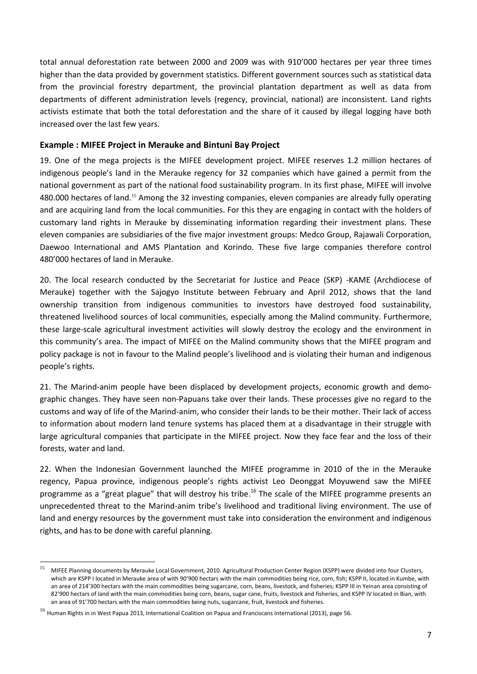total annual deforestation rate between 2000 and 2009 was with 910'000 hectares per year three times higher than the data provided by government statistics. Different government sources such as statistical data from the provincial forestry department, the provincial plantation department as well as data from departments of different administration levels (regency, provincial, national) are inconsistent. Land rights activists estimate that both the total deforestation and the share of it caused by illegal logging have both increased over the last few years.

## **Example : MIFEE Project in Merauke and Bintuni Bay Project**

19. One of the mega projects is the MIFEE development project. MIFEE reserves 1.2 million hectares of indigenous people's land in the Merauke regency for 32 companies which have gained a permit from the national government as part of the national food sustainability program. In its first phase, MIFEE will involve 480.000 hectares of land.<sup>15</sup> Among the 32 investing companies, eleven companies are already fully operating and are acquiring land from the local communities. For this they are engaging in contact with the holders of customary land rights in Merauke by disseminating information regarding their investment plans. These eleven companies are subsidiaries of the five major investment groups: Medco Group, Rajawali Corporation, Daewoo International and AMS Plantation and Korindo. These five large companies therefore control 480'000 hectares of land in Merauke.

20. The local research conducted by the Secretariat for Justice and Peace (SKP) -KAME (Archdiocese of Merauke) together with the Sajogyo Institute between February and April 2012, shows that the land ownership transition from indigenous communities to investors have destroyed food sustainability, threatened livelihood sources of local communities, especially among the Malind community. Furthermore, these large-scale agricultural investment activities will slowly destroy the ecology and the environment in this community's area. The impact of MIFEE on the Malind community shows that the MIFEE program and policy package is not in favour to the Malind people's livelihood and is violating their human and indigenous people's rights.

21. The Marind-anim people have been displaced by development projects, economic growth and demographic changes. They have seen non-Papuans take over their lands. These processes give no regard to the customs and way of life of the Marind-anim, who consider their lands to be their mother. Their lack of access to information about modern land tenure systems has placed them at a disadvantage in their struggle with large agricultural companies that participate in the MIFEE project. Now they face fear and the loss of their forests, water and land.

22. When the Indonesian Government launched the MIFEE programme in 2010 of the in the Merauke regency, Papua province, indigenous people's rights activist Leo Deonggat Moyuwend saw the MIFEE programme as a "great plague" that will destroy his tribe.<sup>16</sup> The scale of the MIFEE programme presents an unprecedented threat to the Marind-anim tribe's livelihood and traditional living environment. The use of land and energy resources by the government must take into consideration the environment and indigenous rights, and has to be done with careful planning.

<sup>15</sup> <sup>15</sup> MIFEE Planning documents by Merauke Local Government, 2010. Agricultural Production Center Region (KSPP) were divided into four Clusters, which are KSPP I located in Merauke area of with 90'900 hectars with the main commodities being rice, corn, fish; KSPP II, located in Kumbe, with an area of 214'300 hectars with the main commodities being sugarcane, corn, beans, livestock, and fisheries; KSPP III in Yeinan area consisting of 82'900 hectars of land with the main commodities being corn, beans, sugar cane, fruits, livestock and fisheries, and KSPP IV located in Bian, with an area of 91'700 hectars with the main commodities being nuts, sugarcane, fruit, livestock and fisheries.

<sup>&</sup>lt;sup>16</sup> Human Rights in in West Papua 2013, International Coalition on Papua and Franciscans International (2013), page 56.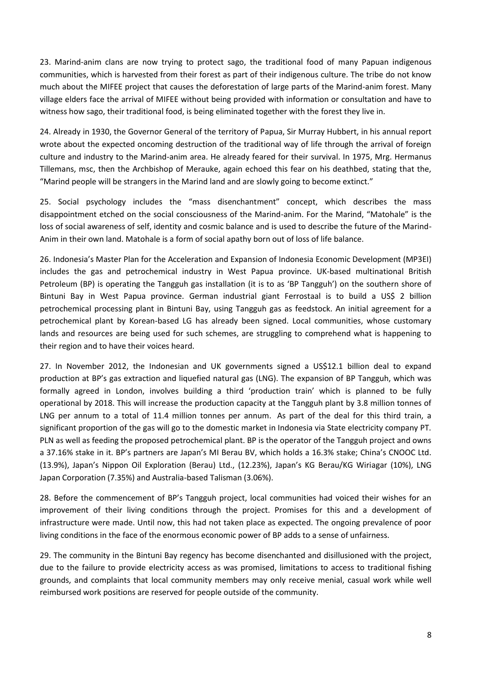23. Marind-anim clans are now trying to protect sago, the traditional food of many Papuan indigenous communities, which is harvested from their forest as part of their indigenous culture. The tribe do not know much about the MIFEE project that causes the deforestation of large parts of the Marind-anim forest. Many village elders face the arrival of MIFEE without being provided with information or consultation and have to witness how sago, their traditional food, is being eliminated together with the forest they live in.

24. Already in 1930, the Governor General of the territory of Papua, Sir Murray Hubbert, in his annual report wrote about the expected oncoming destruction of the traditional way of life through the arrival of foreign culture and industry to the Marind-anim area. He already feared for their survival. In 1975, Mrg. Hermanus Tillemans, msc, then the Archbishop of Merauke, again echoed this fear on his deathbed, stating that the, "Marind people will be strangers in the Marind land and are slowly going to become extinct."

25. Social psychology includes the "mass disenchantment" concept, which describes the mass disappointment etched on the social consciousness of the Marind-anim. For the Marind, "Matohale" is the loss of social awareness of self, identity and cosmic balance and is used to describe the future of the Marind-Anim in their own land. Matohale is a form of social apathy born out of loss of life balance.

26. Indonesia's Master Plan for the Acceleration and Expansion of Indonesia Economic Development (MP3EI) includes the gas and petrochemical industry in West Papua province. UK-based multinational British Petroleum (BP) is operating the Tangguh gas installation (it is to as 'BP Tangguh') on the southern shore of Bintuni Bay in West Papua province. German industrial giant Ferrostaal is to build a US\$ 2 billion petrochemical processing plant in Bintuni Bay, using Tangguh gas as feedstock. An initial agreement for a petrochemical plant by Korean-based LG has already been signed. Local communities, whose customary lands and resources are being used for such schemes, are struggling to comprehend what is happening to their region and to have their voices heard.

27. In November 2012, the Indonesian and UK governments signed a US\$12.1 billion deal to expand production at BP's gas extraction and liquefied natural gas (LNG). The expansion of BP Tangguh, which was formally agreed in London, involves building a third 'production train' which is planned to be fully operational by 2018. This will increase the production capacity at the Tangguh plant by 3.8 million tonnes of LNG per annum to a total of 11.4 million tonnes per annum. As part of the deal for this third train, a significant proportion of the gas will go to the domestic market in Indonesia via State electricity company PT. PLN as well as feeding the proposed petrochemical plant. BP is the operator of the Tangguh project and owns a 37.16% stake in it. BP's partners are Japan's MI Berau BV, which holds a 16.3% stake; China's CNOOC Ltd. (13.9%), Japan's Nippon Oil Exploration (Berau) Ltd., (12.23%), Japan's KG Berau/KG Wiriagar (10%), LNG Japan Corporation (7.35%) and Australia-based Talisman (3.06%).

28. Before the commencement of BP's Tangguh project, local communities had voiced their wishes for an improvement of their living conditions through the project. Promises for this and a development of infrastructure were made. Until now, this had not taken place as expected. The ongoing prevalence of poor living conditions in the face of the enormous economic power of BP adds to a sense of unfairness.

29. The community in the Bintuni Bay regency has become disenchanted and disillusioned with the project, due to the failure to provide electricity access as was promised, limitations to access to traditional fishing grounds, and complaints that local community members may only receive menial, casual work while well reimbursed work positions are reserved for people outside of the community.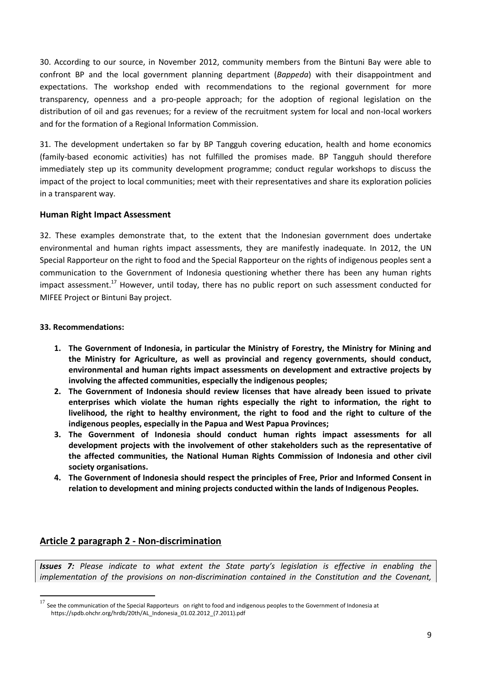30. According to our source, in November 2012, community members from the Bintuni Bay were able to confront BP and the local government planning department (*Bappeda*) with their disappointment and expectations. The workshop ended with recommendations to the regional government for more transparency, openness and a pro-people approach; for the adoption of regional legislation on the distribution of oil and gas revenues; for a review of the recruitment system for local and non-local workers and for the formation of a Regional Information Commission.

31. The development undertaken so far by BP Tangguh covering education, health and home economics (family-based economic activities) has not fulfilled the promises made. BP Tangguh should therefore immediately step up its community development programme; conduct regular workshops to discuss the impact of the project to local communities; meet with their representatives and share its exploration policies in a transparent way.

## **Human Right Impact Assessment**

32. These examples demonstrate that, to the extent that the Indonesian government does undertake environmental and human rights impact assessments, they are manifestly inadequate. In 2012, the UN Special Rapporteur on the right to food and the Special Rapporteur on the rights of indigenous peoples sent a communication to the Government of Indonesia questioning whether there has been any human rights impact assessment.<sup>17</sup> However, until today, there has no public report on such assessment conducted for MIFEE Project or Bintuni Bay project.

## **33. Recommendations:**

 $\overline{a}$ 

- **1. The Government of Indonesia, in particular the Ministry of Forestry, the Ministry for Mining and the Ministry for Agriculture, as well as provincial and regency governments, should conduct, environmental and human rights impact assessments on development and extractive projects by involving the affected communities, especially the indigenous peoples;**
- **2. The Government of Indonesia should review licenses that have already been issued to private enterprises which violate the human rights especially the right to information, the right to livelihood, the right to healthy environment, the right to food and the right to culture of the indigenous peoples, especially in the Papua and West Papua Provinces;**
- **3. The Government of Indonesia should conduct human rights impact assessments for all development projects with the involvement of other stakeholders such as the representative of the affected communities, the National Human Rights Commission of Indonesia and other civil society organisations.**
- **4. The Government of Indonesia should respect the principles of Free, Prior and Informed Consent in relation to development and mining projects conducted within the lands of Indigenous Peoples.**

# **Article 2 paragraph 2 - Non-discrimination**

*Issues 7: Please indicate to what extent the State party's legislation is effective in enabling the implementation of the provisions on non-discrimination contained in the Constitution and the Covenant,* 

 $17$  See the communication of the Special Rapporteurs on right to food and indigenous peoples to the Government of Indonesia at https://spdb.ohchr.org/hrdb/20th/AL\_Indonesia\_01.02.2012\_(7.2011).pdf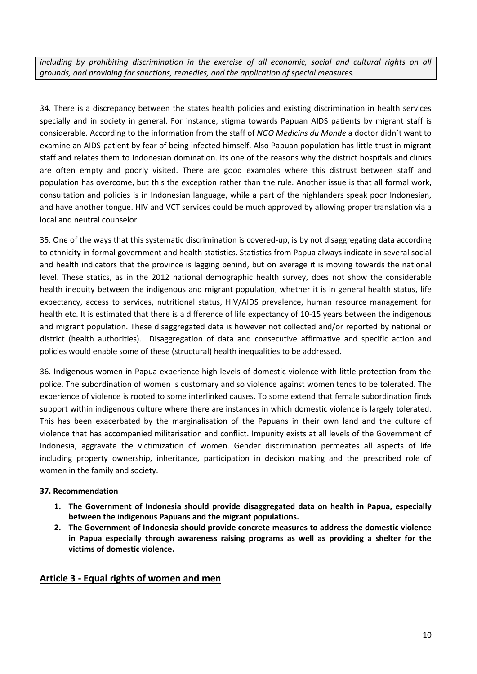*including by prohibiting discrimination in the exercise of all economic, social and cultural rights on all grounds, and providing for sanctions, remedies, and the application of special measures.*

34. There is a discrepancy between the states health policies and existing discrimination in health services specially and in society in general. For instance, stigma towards Papuan AIDS patients by migrant staff is considerable. According to the information from the staff of *NGO Medicins du Monde* a doctor didn`t want to examine an AIDS-patient by fear of being infected himself. Also Papuan population has little trust in migrant staff and relates them to Indonesian domination. Its one of the reasons why the district hospitals and clinics are often empty and poorly visited. There are good examples where this distrust between staff and population has overcome, but this the exception rather than the rule. Another issue is that all formal work, consultation and policies is in Indonesian language, while a part of the highlanders speak poor Indonesian, and have another tongue. HIV and VCT services could be much approved by allowing proper translation via a local and neutral counselor.

35. One of the ways that this systematic discrimination is covered-up, is by not disaggregating data according to ethnicity in formal government and health statistics. Statistics from Papua always indicate in several social and health indicators that the province is lagging behind, but on average it is moving towards the national level. These statics, as in the 2012 national demographic health survey, does not show the considerable health inequity between the indigenous and migrant population, whether it is in general health status, life expectancy, access to services, nutritional status, HIV/AIDS prevalence, human resource management for health etc. It is estimated that there is a difference of life expectancy of 10-15 years between the indigenous and migrant population. These disaggregated data is however not collected and/or reported by national or district (health authorities). Disaggregation of data and consecutive affirmative and specific action and policies would enable some of these (structural) health inequalities to be addressed.

36. Indigenous women in Papua experience high levels of domestic violence with little protection from the police. The subordination of women is customary and so violence against women tends to be tolerated. The experience of violence is rooted to some interlinked causes. To some extend that female subordination finds support within indigenous culture where there are instances in which domestic violence is largely tolerated. This has been exacerbated by the marginalisation of the Papuans in their own land and the culture of violence that has accompanied militarisation and conflict. Impunity exists at all levels of the Government of Indonesia, aggravate the victimization of women. Gender discrimination permeates all aspects of life including property ownership, inheritance, participation in decision making and the prescribed role of women in the family and society.

## **37. Recommendation**

- **1. The Government of Indonesia should provide disaggregated data on health in Papua, especially between the indigenous Papuans and the migrant populations.**
- **2. The Government of Indonesia should provide concrete measures to address the domestic violence in Papua especially through awareness raising programs as well as providing a shelter for the victims of domestic violence.**

# **Article 3 - Equal rights of women and men**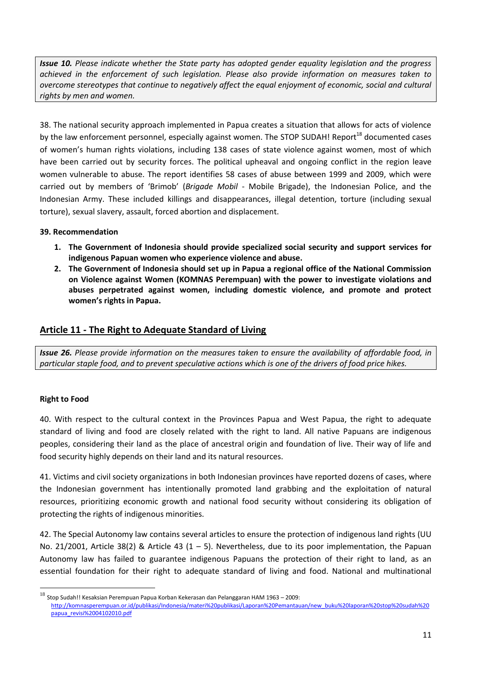*Issue 10. Please indicate whether the State party has adopted gender equality legislation and the progress achieved in the enforcement of such legislation. Please also provide information on measures taken to overcome stereotypes that continue to negatively affect the equal enjoyment of economic, social and cultural rights by men and women.*

38. The national security approach implemented in Papua creates a situation that allows for acts of violence by the law enforcement personnel, especially against women. The STOP SUDAH! Report<sup>18</sup> documented cases of women's human rights violations, including 138 cases of state violence against women, most of which have been carried out by security forces. The political upheaval and ongoing conflict in the region leave women vulnerable to abuse. The report identifies 58 cases of abuse between 1999 and 2009, which were carried out by members of 'Brimob' (*Brigade Mobil* - Mobile Brigade), the Indonesian Police, and the Indonesian Army. These included killings and disappearances, illegal detention, torture (including sexual torture), sexual slavery, assault, forced abortion and displacement.

## **39. Recommendation**

- **1. The Government of Indonesia should provide specialized social security and support services for indigenous Papuan women who experience violence and abuse.**
- **2. The Government of Indonesia should set up in Papua a regional office of the National Commission on Violence against Women (KOMNAS Perempuan) with the power to investigate violations and abuses perpetrated against women, including domestic violence, and promote and protect women's rights in Papua.**

# **Article 11 - The Right to Adequate Standard of Living**

*Issue 26. Please provide information on the measures taken to ensure the availability of affordable food, in particular staple food, and to prevent speculative actions which is one of the drivers of food price hikes.*

# **Right to Food**

 $\overline{a}$ 

40. With respect to the cultural context in the Provinces Papua and West Papua, the right to adequate standard of living and food are closely related with the right to land. All native Papuans are indigenous peoples, considering their land as the place of ancestral origin and foundation of live. Their way of life and food security highly depends on their land and its natural resources.

41. Victims and civil society organizations in both Indonesian provinces have reported dozens of cases, where the Indonesian government has intentionally promoted land grabbing and the exploitation of natural resources, prioritizing economic growth and national food security without considering its obligation of protecting the rights of indigenous minorities.

42. The Special Autonomy law contains several articles to ensure the protection of indigenous land rights (UU No. 21/2001, Article 38(2) & Article 43 (1 – 5). Nevertheless, due to its poor implementation, the Papuan Autonomy law has failed to guarantee indigenous Papuans the protection of their right to land, as an essential foundation for their right to adequate standard of living and food. National and multinational

 $^{18}$  Stop Sudah!! Kesaksian Perempuan Papua Korban Kekerasan dan Pelanggaran HAM 1963 – 2009: [http://komnasperempuan.or.id/publikasi/Indonesia/materi%20publikasi/Laporan%20Pemantauan/new\\_buku%20laporan%20stop%20sudah%20](http://komnasperempuan.or.id/publikasi/Indonesia/materi%20publikasi/Laporan%20Pemantauan/new_buku%20laporan%20stop%20sudah%20papua_revisi%2004102010.pdf) [papua\\_revisi%2004102010.pdf](http://komnasperempuan.or.id/publikasi/Indonesia/materi%20publikasi/Laporan%20Pemantauan/new_buku%20laporan%20stop%20sudah%20papua_revisi%2004102010.pdf)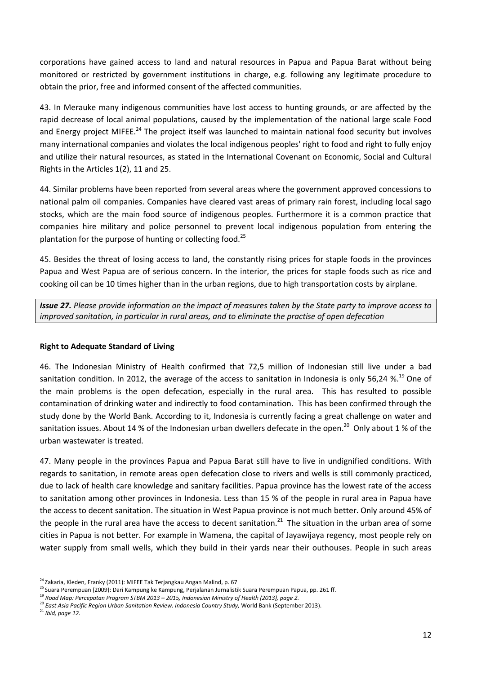corporations have gained access to land and natural resources in Papua and Papua Barat without being monitored or restricted by government institutions in charge, e.g. following any legitimate procedure to obtain the prior, free and informed consent of the affected communities.

43. In Merauke many indigenous communities have lost access to hunting grounds, or are affected by the rapid decrease of local animal populations, caused by the implementation of the national large scale Food and Energy project MIFEE.<sup>24</sup> The project itself was launched to maintain national food security but involves many international companies and violates the local indigenous peoples' right to food and right to fully enjoy and utilize their natural resources, as stated in the International Covenant on Economic, Social and Cultural Rights in the Articles 1(2), 11 and 25.

44. Similar problems have been reported from several areas where the government approved concessions to national palm oil companies. Companies have cleared vast areas of primary rain forest, including local sago stocks, which are the main food source of indigenous peoples. Furthermore it is a common practice that companies hire military and police personnel to prevent local indigenous population from entering the plantation for the purpose of hunting or collecting food. $^{25}$ 

45. Besides the threat of losing access to land, the constantly rising prices for staple foods in the provinces Papua and West Papua are of serious concern. In the interior, the prices for staple foods such as rice and cooking oil can be 10 times higher than in the urban regions, due to high transportation costs by airplane.

*Issue 27. Please provide information on the impact of measures taken by the State party to improve access to improved sanitation, in particular in rural areas, and to eliminate the practise of open defecation*

## **Right to Adequate Standard of Living**

46. The Indonesian Ministry of Health confirmed that 72,5 million of Indonesian still live under a bad sanitation condition. In 2012, the average of the access to sanitation in Indonesia is only 56,24  $\%$ .<sup>19</sup> One of the main problems is the open defecation, especially in the rural area. This has resulted to possible contamination of drinking water and indirectly to food contamination. This has been confirmed through the study done by the World Bank. According to it, Indonesia is currently facing a great challenge on water and sanitation issues. About 14 % of the Indonesian urban dwellers defecate in the open.<sup>20</sup> Only about 1 % of the urban wastewater is treated.

47. Many people in the provinces Papua and Papua Barat still have to live in undignified conditions. With regards to sanitation, in remote areas open defecation close to rivers and wells is still commonly practiced, due to lack of health care knowledge and sanitary facilities. Papua province has the lowest rate of the access to sanitation among other provinces in Indonesia. Less than 15 % of the people in rural area in Papua have the access to decent sanitation. The situation in West Papua province is not much better. Only around 45% of the people in the rural area have the access to decent sanitation.<sup>21</sup> The situation in the urban area of some cities in Papua is not better. For example in Wamena, the capital of Jayawijaya regency, most people rely on water supply from small wells, which they build in their yards near their outhouses. People in such areas

 $\ddot{\phantom{a}}$ <sup>24</sup> Zakaria, Kleden, Franky (2011): MIFEE Tak Terjangkau Angan Malind, p. 67

<sup>&</sup>lt;sup>25</sup> Suara Perempuan (2009): Dari Kampung ke Kampung, Perjalanan Jurnalistik Suara Perempuan Papua, pp. 261 ff.

<sup>19</sup> *Road Map: Percepatan Program STBM 2013 – 2015, Indonesian Ministry of Health (2013), page 2.* 

<sup>20</sup> *East Asia Pacific Region Urban Sanitation Review. Indonesia Country Study, World Bank (September 2013).* 

<sup>21</sup> *Ibid, page 12.*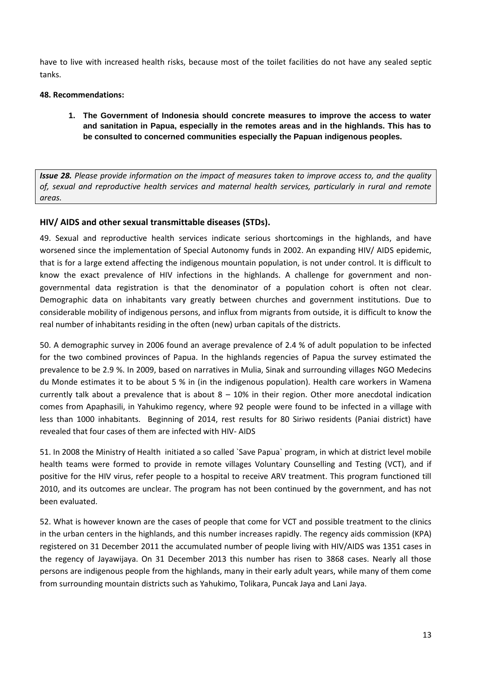have to live with increased health risks, because most of the toilet facilities do not have any sealed septic tanks.

## **48. Recommendations:**

**1. The Government of Indonesia should concrete measures to improve the access to water and sanitation in Papua, especially in the remotes areas and in the highlands. This has to be consulted to concerned communities especially the Papuan indigenous peoples.** 

*Issue 28. Please provide information on the impact of measures taken to improve access to, and the quality of, sexual and reproductive health services and maternal health services, particularly in rural and remote areas.*

## **HIV/ AIDS and other sexual transmittable diseases (STDs).**

49. Sexual and reproductive health services indicate serious shortcomings in the highlands, and have worsened since the implementation of Special Autonomy funds in 2002. An expanding HIV/ AIDS epidemic, that is for a large extend affecting the indigenous mountain population, is not under control. It is difficult to know the exact prevalence of HIV infections in the highlands. A challenge for government and nongovernmental data registration is that the denominator of a population cohort is often not clear. Demographic data on inhabitants vary greatly between churches and government institutions. Due to considerable mobility of indigenous persons, and influx from migrants from outside, it is difficult to know the real number of inhabitants residing in the often (new) urban capitals of the districts.

50. A demographic survey in 2006 found an average prevalence of 2.4 % of adult population to be infected for the two combined provinces of Papua. In the highlands regencies of Papua the survey estimated the prevalence to be 2.9 %. In 2009, based on narratives in Mulia, Sinak and surrounding villages NGO Medecins du Monde estimates it to be about 5 % in (in the indigenous population). Health care workers in Wamena currently talk about a prevalence that is about  $8 - 10\%$  in their region. Other more anecdotal indication comes from Apaphasili, in Yahukimo regency, where 92 people were found to be infected in a village with less than 1000 inhabitants. Beginning of 2014, rest results for 80 Siriwo residents (Paniai district) have revealed that four cases of them are infected with HIV- AIDS

51. In 2008 the Ministry of Health initiated a so called `Save Papua` program, in which at district level mobile health teams were formed to provide in remote villages Voluntary Counselling and Testing (VCT), and if positive for the HIV virus, refer people to a hospital to receive ARV treatment. This program functioned till 2010, and its outcomes are unclear. The program has not been continued by the government, and has not been evaluated.

52. What is however known are the cases of people that come for VCT and possible treatment to the clinics in the urban centers in the highlands, and this number increases rapidly. The regency aids commission (KPA) registered on 31 December 2011 the accumulated number of people living with HIV/AIDS was 1351 cases in the regency of Jayawijaya. On 31 December 2013 this number has risen to 3868 cases. Nearly all those persons are indigenous people from the highlands, many in their early adult years, while many of them come from surrounding mountain districts such as Yahukimo, Tolikara, Puncak Jaya and Lani Jaya.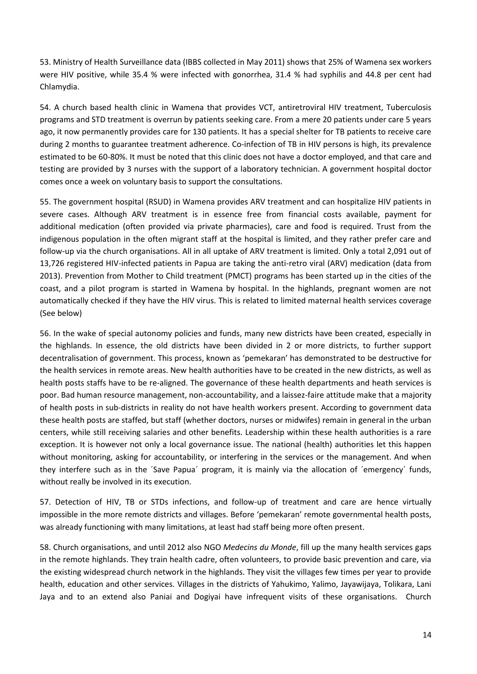53. Ministry of Health Surveillance data (IBBS collected in May 2011) shows that 25% of Wamena sex workers were HIV positive, while 35.4 % were infected with gonorrhea, 31.4 % had syphilis and 44.8 per cent had Chlamydia.

54. A church based health clinic in Wamena that provides VCT, antiretroviral HIV treatment, Tuberculosis programs and STD treatment is overrun by patients seeking care. From a mere 20 patients under care 5 years ago, it now permanently provides care for 130 patients. It has a special shelter for TB patients to receive care during 2 months to guarantee treatment adherence. Co-infection of TB in HIV persons is high, its prevalence estimated to be 60-80%. It must be noted that this clinic does not have a doctor employed, and that care and testing are provided by 3 nurses with the support of a laboratory technician. A government hospital doctor comes once a week on voluntary basis to support the consultations.

55. The government hospital (RSUD) in Wamena provides ARV treatment and can hospitalize HIV patients in severe cases. Although ARV treatment is in essence free from financial costs available, payment for additional medication (often provided via private pharmacies), care and food is required. Trust from the indigenous population in the often migrant staff at the hospital is limited, and they rather prefer care and follow-up via the church organisations. All in all uptake of ARV treatment is limited. Only a total 2,091 out of 13,726 registered HIV-infected patients in Papua are taking the anti-retro viral (ARV) medication (data from 2013). Prevention from Mother to Child treatment (PMCT) programs has been started up in the cities of the coast, and a pilot program is started in Wamena by hospital. In the highlands, pregnant women are not automatically checked if they have the HIV virus. This is related to limited maternal health services coverage (See below)

56. In the wake of special autonomy policies and funds, many new districts have been created, especially in the highlands. In essence, the old districts have been divided in 2 or more districts, to further support decentralisation of government. This process, known as 'pemekaran' has demonstrated to be destructive for the health services in remote areas. New health authorities have to be created in the new districts, as well as health posts staffs have to be re-aligned. The governance of these health departments and heath services is poor. Bad human resource management, non-accountability, and a laissez-faire attitude make that a majority of health posts in sub-districts in reality do not have health workers present. According to government data these health posts are staffed, but staff (whether doctors, nurses or midwifes) remain in general in the urban centers, while still receiving salaries and other benefits. Leadership within these health authorities is a rare exception. It is however not only a local governance issue. The national (health) authorities let this happen without monitoring, asking for accountability, or interfering in the services or the management. And when they interfere such as in the ´Save Papua´ program, it is mainly via the allocation of ´emergency´ funds, without really be involved in its execution.

57. Detection of HIV, TB or STDs infections, and follow-up of treatment and care are hence virtually impossible in the more remote districts and villages. Before 'pemekaran' remote governmental health posts, was already functioning with many limitations, at least had staff being more often present.

58. Church organisations, and until 2012 also NGO *Medecins du Monde*, fill up the many health services gaps in the remote highlands. They train health cadre, often volunteers, to provide basic prevention and care, via the existing widespread church network in the highlands. They visit the villages few times per year to provide health, education and other services. Villages in the districts of Yahukimo, Yalimo, Jayawijaya, Tolikara, Lani Jaya and to an extend also Paniai and Dogiyai have infrequent visits of these organisations. Church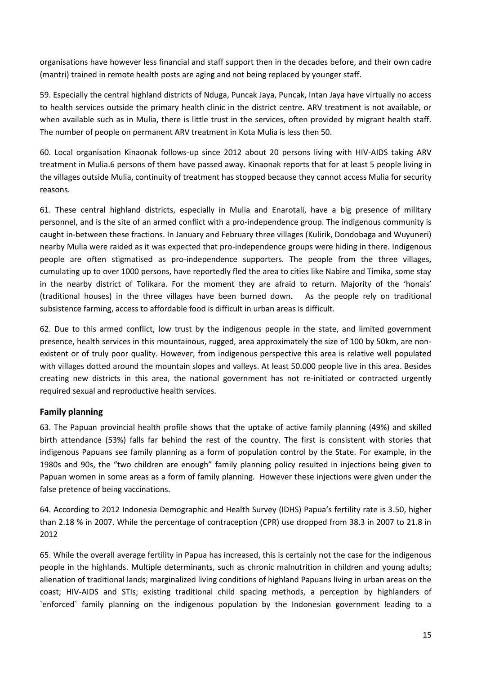organisations have however less financial and staff support then in the decades before, and their own cadre (mantri) trained in remote health posts are aging and not being replaced by younger staff.

59. Especially the central highland districts of Nduga, Puncak Jaya, Puncak, Intan Jaya have virtually no access to health services outside the primary health clinic in the district centre. ARV treatment is not available, or when available such as in Mulia, there is little trust in the services, often provided by migrant health staff. The number of people on permanent ARV treatment in Kota Mulia is less then 50.

60. Local organisation Kinaonak follows-up since 2012 about 20 persons living with HIV-AIDS taking ARV treatment in Mulia.6 persons of them have passed away. Kinaonak reports that for at least 5 people living in the villages outside Mulia, continuity of treatment has stopped because they cannot access Mulia for security reasons.

61. These central highland districts, especially in Mulia and Enarotali, have a big presence of military personnel, and is the site of an armed conflict with a pro-independence group. The indigenous community is caught in-between these fractions. In January and February three villages (Kulirik, Dondobaga and Wuyuneri) nearby Mulia were raided as it was expected that pro-independence groups were hiding in there. Indigenous people are often stigmatised as pro-independence supporters. The people from the three villages, cumulating up to over 1000 persons, have reportedly fled the area to cities like Nabire and Timika, some stay in the nearby district of Tolikara. For the moment they are afraid to return. Majority of the 'honais' (traditional houses) in the three villages have been burned down. As the people rely on traditional subsistence farming, access to affordable food is difficult in urban areas is difficult.

62. Due to this armed conflict, low trust by the indigenous people in the state, and limited government presence, health services in this mountainous, rugged, area approximately the size of 100 by 50km, are nonexistent or of truly poor quality. However, from indigenous perspective this area is relative well populated with villages dotted around the mountain slopes and valleys. At least 50.000 people live in this area. Besides creating new districts in this area, the national government has not re-initiated or contracted urgently required sexual and reproductive health services.

# **Family planning**

63. The Papuan provincial health profile shows that the uptake of active family planning (49%) and skilled birth attendance (53%) falls far behind the rest of the country. The first is consistent with stories that indigenous Papuans see family planning as a form of population control by the State. For example, in the 1980s and 90s, the "two children are enough" family planning policy resulted in injections being given to Papuan women in some areas as a form of family planning. However these injections were given under the false pretence of being vaccinations.

64. According to 2012 Indonesia Demographic and Health Survey (IDHS) Papua's fertility rate is 3.50, higher than 2.18 % in 2007. While the percentage of contraception (CPR) use dropped from 38.3 in 2007 to 21.8 in 2012

65. While the overall average fertility in Papua has increased, this is certainly not the case for the indigenous people in the highlands. Multiple determinants, such as chronic malnutrition in children and young adults; alienation of traditional lands; marginalized living conditions of highland Papuans living in urban areas on the coast; HIV-AIDS and STIs; existing traditional child spacing methods, a perception by highlanders of `enforced` family planning on the indigenous population by the Indonesian government leading to a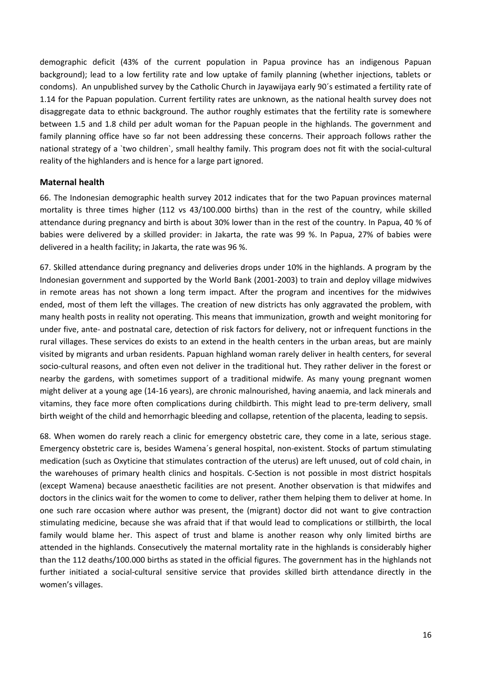demographic deficit (43% of the current population in Papua province has an indigenous Papuan background); lead to a low fertility rate and low uptake of family planning (whether injections, tablets or condoms). An unpublished survey by the Catholic Church in Jayawijaya early 90´s estimated a fertility rate of 1.14 for the Papuan population. Current fertility rates are unknown, as the national health survey does not disaggregate data to ethnic background. The author roughly estimates that the fertility rate is somewhere between 1.5 and 1.8 child per adult woman for the Papuan people in the highlands. The government and family planning office have so far not been addressing these concerns. Their approach follows rather the national strategy of a `two children`, small healthy family. This program does not fit with the social-cultural reality of the highlanders and is hence for a large part ignored.

## **Maternal health**

66. The Indonesian demographic health survey 2012 indicates that for the two Papuan provinces maternal mortality is three times higher (112 vs 43/100.000 births) than in the rest of the country, while skilled attendance during pregnancy and birth is about 30% lower than in the rest of the country. In Papua, 40 % of babies were delivered by a skilled provider: in Jakarta, the rate was 99 %. In Papua, 27% of babies were delivered in a health facility; in Jakarta, the rate was 96 %.

67. Skilled attendance during pregnancy and deliveries drops under 10% in the highlands. A program by the Indonesian government and supported by the World Bank (2001-2003) to train and deploy village midwives in remote areas has not shown a long term impact. After the program and incentives for the midwives ended, most of them left the villages. The creation of new districts has only aggravated the problem, with many health posts in reality not operating. This means that immunization, growth and weight monitoring for under five, ante- and postnatal care, detection of risk factors for delivery, not or infrequent functions in the rural villages. These services do exists to an extend in the health centers in the urban areas, but are mainly visited by migrants and urban residents. Papuan highland woman rarely deliver in health centers, for several socio-cultural reasons, and often even not deliver in the traditional hut. They rather deliver in the forest or nearby the gardens, with sometimes support of a traditional midwife. As many young pregnant women might deliver at a young age (14-16 years), are chronic malnourished, having anaemia, and lack minerals and vitamins, they face more often complications during childbirth. This might lead to pre-term delivery, small birth weight of the child and hemorrhagic bleeding and collapse, retention of the placenta, leading to sepsis.

68. When women do rarely reach a clinic for emergency obstetric care, they come in a late, serious stage. Emergency obstetric care is, besides Wamena´s general hospital, non-existent. Stocks of partum stimulating medication (such as Oxyticine that stimulates contraction of the uterus) are left unused, out of cold chain, in the warehouses of primary health clinics and hospitals. C-Section is not possible in most district hospitals (except Wamena) because anaesthetic facilities are not present. Another observation is that midwifes and doctors in the clinics wait for the women to come to deliver, rather them helping them to deliver at home. In one such rare occasion where author was present, the (migrant) doctor did not want to give contraction stimulating medicine, because she was afraid that if that would lead to complications or stillbirth, the local family would blame her. This aspect of trust and blame is another reason why only limited births are attended in the highlands. Consecutively the maternal mortality rate in the highlands is considerably higher than the 112 deaths/100.000 births as stated in the official figures. The government has in the highlands not further initiated a social-cultural sensitive service that provides skilled birth attendance directly in the women's villages.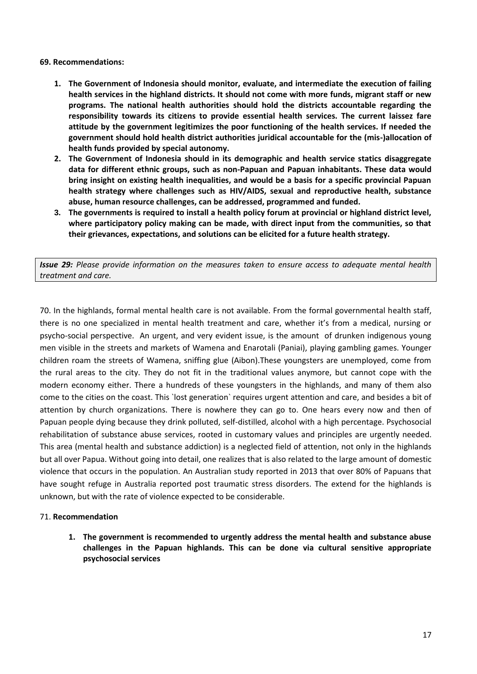### **69. Recommendations:**

- **1. The Government of Indonesia should monitor, evaluate, and intermediate the execution of failing health services in the highland districts. It should not come with more funds, migrant staff or new programs. The national health authorities should hold the districts accountable regarding the responsibility towards its citizens to provide essential health services. The current laissez fare attitude by the government legitimizes the poor functioning of the health services. If needed the government should hold health district authorities juridical accountable for the (mis-)allocation of health funds provided by special autonomy.**
- **2. The Government of Indonesia should in its demographic and health service statics disaggregate data for different ethnic groups, such as non-Papuan and Papuan inhabitants. These data would bring insight on existing health inequalities, and would be a basis for a specific provincial Papuan health strategy where challenges such as HIV/AIDS, sexual and reproductive health, substance abuse, human resource challenges, can be addressed, programmed and funded.**
- **3. The governments is required to install a health policy forum at provincial or highland district level, where participatory policy making can be made, with direct input from the communities, so that their grievances, expectations, and solutions can be elicited for a future health strategy.**

*Issue 29: Please provide information on the measures taken to ensure access to adequate mental health treatment and care.*

70. In the highlands, formal mental health care is not available. From the formal governmental health staff, there is no one specialized in mental health treatment and care, whether it's from a medical, nursing or psycho-social perspective. An urgent, and very evident issue, is the amount of drunken indigenous young men visible in the streets and markets of Wamena and Enarotali (Paniai), playing gambling games. Younger children roam the streets of Wamena, sniffing glue (Aibon).These youngsters are unemployed, come from the rural areas to the city. They do not fit in the traditional values anymore, but cannot cope with the modern economy either. There a hundreds of these youngsters in the highlands, and many of them also come to the cities on the coast. This `lost generation` requires urgent attention and care, and besides a bit of attention by church organizations. There is nowhere they can go to. One hears every now and then of Papuan people dying because they drink polluted, self-distilled, alcohol with a high percentage. Psychosocial rehabilitation of substance abuse services, rooted in customary values and principles are urgently needed. This area (mental health and substance addiction) is a neglected field of attention, not only in the highlands but all over Papua. Without going into detail, one realizes that is also related to the large amount of domestic violence that occurs in the population. An Australian study reported in 2013 that over 80% of Papuans that have sought refuge in Australia reported post traumatic stress disorders. The extend for the highlands is unknown, but with the rate of violence expected to be considerable.

### 71. **Recommendation**

**1. The government is recommended to urgently address the mental health and substance abuse challenges in the Papuan highlands. This can be done via cultural sensitive appropriate psychosocial services**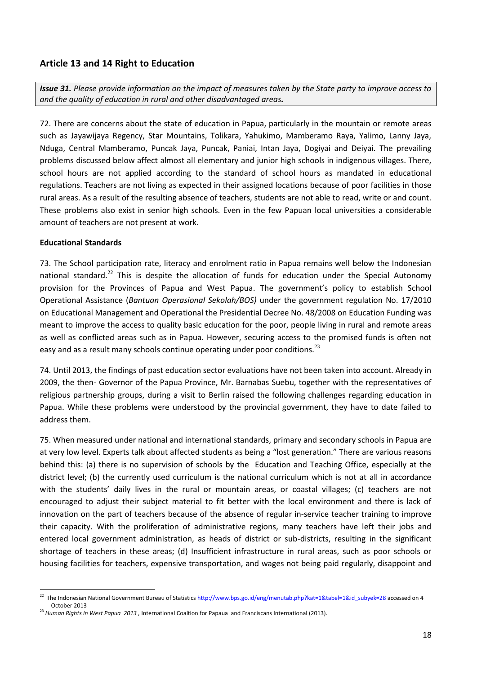# **Article 13 and 14 Right to Education**

*Issue 31. Please provide information on the impact of measures taken by the State party to improve access to and the quality of education in rural and other disadvantaged areas.*

72. There are concerns about the state of education in Papua, particularly in the mountain or remote areas such as Jayawijaya Regency, Star Mountains, Tolikara, Yahukimo, Mamberamo Raya, Yalimo, Lanny Jaya, Nduga, Central Mamberamo, Puncak Jaya, Puncak, Paniai, Intan Jaya, Dogiyai and Deiyai. The prevailing problems discussed below affect almost all elementary and junior high schools in indigenous villages. There, school hours are not applied according to the standard of school hours as mandated in educational regulations. Teachers are not living as expected in their assigned locations because of poor facilities in those rural areas. As a result of the resulting absence of teachers, students are not able to read, write or and count. These problems also exist in senior high schools. Even in the few Papuan local universities a considerable amount of teachers are not present at work.

## **Educational Standards**

73. The School participation rate, literacy and enrolment ratio in Papua remains well below the Indonesian national standard.<sup>22</sup> This is despite the allocation of funds for education under the Special Autonomy provision for the Provinces of Papua and West Papua. The government's policy to establish School Operational Assistance (*Bantuan Operasional Sekolah/BOS)* under the government regulation No. 17/2010 on Educational Management and Operational the Presidential Decree No. 48/2008 on Education Funding was meant to improve the access to quality basic education for the poor, people living in rural and remote areas as well as conflicted areas such as in Papua. However, securing access to the promised funds is often not easy and as a result many schools continue operating under poor conditions.<sup>23</sup>

74. Until 2013, the findings of past education sector evaluations have not been taken into account. Already in 2009, the then- Governor of the Papua Province, Mr. Barnabas Suebu, together with the representatives of religious partnership groups, during a visit to Berlin raised the following challenges regarding education in Papua. While these problems were understood by the provincial government, they have to date failed to address them.

75. When measured under national and international standards, primary and secondary schools in Papua are at very low level. Experts talk about affected students as being a "lost generation." There are various reasons behind this: (a) there is no supervision of schools by the Education and Teaching Office, especially at the district level; (b) the currently used curriculum is the national curriculum which is not at all in accordance with the students' daily lives in the rural or mountain areas, or coastal villages; (c) teachers are not encouraged to adjust their subject material to fit better with the local environment and there is lack of innovation on the part of teachers because of the absence of regular in-service teacher training to improve their capacity. With the proliferation of administrative regions, many teachers have left their jobs and entered local government administration, as heads of district or sub-districts, resulting in the significant shortage of teachers in these areas; (d) Insufficient infrastructure in rural areas, such as poor schools or housing facilities for teachers, expensive transportation, and wages not being paid regularly, disappoint and

<sup>22&</sup>lt;br><sup>22</sup> The Indonesian National Government Bureau of Statistics <u>http://www.bps.go.id/eng/menutab.php?kat=1&tabel=1&id\_subyek=28</u> accessed on 4 October 2013

<sup>23</sup> *Human Rights in West Papua 2013 ,* International Coaltion for Papaua and Franciscans International (2013).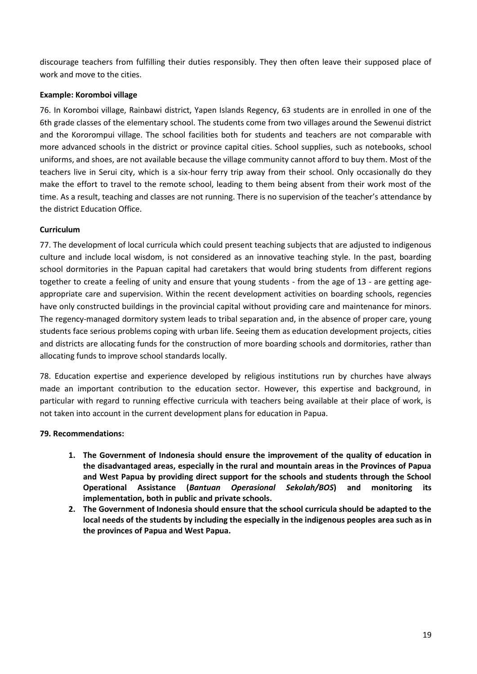discourage teachers from fulfilling their duties responsibly. They then often leave their supposed place of work and move to the cities.

## **Example: Koromboi village**

76. In Koromboi village, Rainbawi district, Yapen Islands Regency, 63 students are in enrolled in one of the 6th grade classes of the elementary school. The students come from two villages around the Sewenui district and the Kororompui village. The school facilities both for students and teachers are not comparable with more advanced schools in the district or province capital cities. School supplies, such as notebooks, school uniforms, and shoes, are not available because the village community cannot afford to buy them. Most of the teachers live in Serui city, which is a six-hour ferry trip away from their school. Only occasionally do they make the effort to travel to the remote school, leading to them being absent from their work most of the time. As a result, teaching and classes are not running. There is no supervision of the teacher's attendance by the district Education Office.

## **Curriculum**

77. The development of local curricula which could present teaching subjects that are adjusted to indigenous culture and include local wisdom, is not considered as an innovative teaching style. In the past, boarding school dormitories in the Papuan capital had caretakers that would bring students from different regions together to create a feeling of unity and ensure that young students - from the age of 13 - are getting ageappropriate care and supervision. Within the recent development activities on boarding schools, regencies have only constructed buildings in the provincial capital without providing care and maintenance for minors. The regency-managed dormitory system leads to tribal separation and, in the absence of proper care, young students face serious problems coping with urban life. Seeing them as education development projects, cities and districts are allocating funds for the construction of more boarding schools and dormitories, rather than allocating funds to improve school standards locally.

78. Education expertise and experience developed by religious institutions run by churches have always made an important contribution to the education sector. However, this expertise and background, in particular with regard to running effective curricula with teachers being available at their place of work, is not taken into account in the current development plans for education in Papua.

## **79. Recommendations:**

- **1. The Government of Indonesia should ensure the improvement of the quality of education in the disadvantaged areas, especially in the rural and mountain areas in the Provinces of Papua and West Papua by providing direct support for the schools and students through the School Operational Assistance (***Bantuan Operasional Sekolah/BOS***) and monitoring its implementation, both in public and private schools.**
- **2. The Government of Indonesia should ensure that the school curricula should be adapted to the local needs of the students by including the especially in the indigenous peoples area such as in the provinces of Papua and West Papua.**